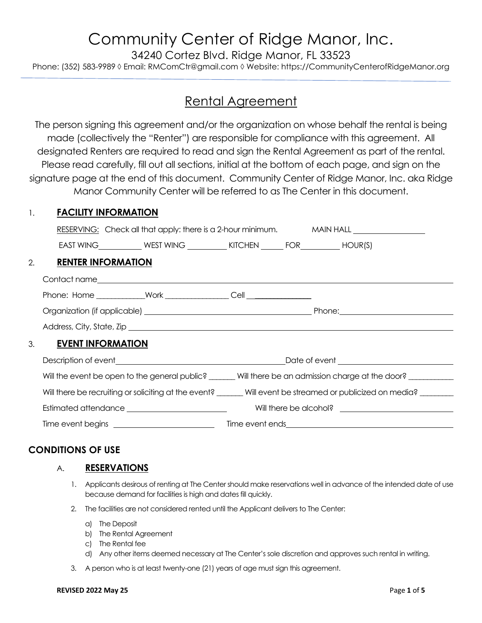# Community Center of Ridge Manor, Inc.

34240 Cortez Blvd. Ridge Manor, FL 33523

Phone: (352) 583-9989 ◊ Email: RMComCtr@gmail.com ◊ Website: https://CommunityCenterofRidgeManor.org

### Rental Agreement

The person signing this agreement and/or the organization on whose behalf the rental is being made (collectively the "Renter") are responsible for compliance with this agreement. All designated Renters are required to read and sign the Rental Agreement as part of the rental. Please read carefully, fill out all sections, initial at the bottom of each page, and sign on the signature page at the end of this document. Community Center of Ridge Manor, Inc. aka Ridge Manor Community Center will be referred to as The Center in this document.

#### 1. **FACILITY INFORMATION**

|    | RESERVING: Check all that apply: there is a 2-hour minimum. MAIN HALL ____________ |                                                                                           |  |                                                                                                                                                                                                                               |  |  |  |
|----|------------------------------------------------------------------------------------|-------------------------------------------------------------------------------------------|--|-------------------------------------------------------------------------------------------------------------------------------------------------------------------------------------------------------------------------------|--|--|--|
|    |                                                                                    | EAST WING _____________ WEST WING _____________ KITCHEN ________ FOR_____________ HOUR(S) |  |                                                                                                                                                                                                                               |  |  |  |
| 2. | <b>RENTER INFORMATION</b>                                                          |                                                                                           |  |                                                                                                                                                                                                                               |  |  |  |
|    |                                                                                    |                                                                                           |  |                                                                                                                                                                                                                               |  |  |  |
|    |                                                                                    |                                                                                           |  |                                                                                                                                                                                                                               |  |  |  |
|    |                                                                                    |                                                                                           |  |                                                                                                                                                                                                                               |  |  |  |
|    |                                                                                    |                                                                                           |  |                                                                                                                                                                                                                               |  |  |  |
|    | 3. <b>EVENT INFORMATION</b>                                                        |                                                                                           |  |                                                                                                                                                                                                                               |  |  |  |
|    |                                                                                    |                                                                                           |  | Description of event expansion of the contract of the contract of event and contract of event and contract of the contract of the contract of the contract of the contract of the contract of the contract of the contract of |  |  |  |
|    |                                                                                    |                                                                                           |  | Will the event be open to the general public? ______ Will there be an admission charge at the door?                                                                                                                           |  |  |  |
|    |                                                                                    |                                                                                           |  | Will there be recruiting or soliciting at the event? ______Will event be streamed or publicized on media? _______                                                                                                             |  |  |  |
|    |                                                                                    |                                                                                           |  |                                                                                                                                                                                                                               |  |  |  |
|    |                                                                                    |                                                                                           |  |                                                                                                                                                                                                                               |  |  |  |

### **CONDITIONS OF USE**

#### A. **RESERVATIONS**

- 1. Applicants desirous of renting at The Center should make reservations well in advance of the intended date of use because demand for facilities is high and dates fill quickly.
- 2. The facilities are not considered rented until the Applicant delivers to The Center:
	- a) The Deposit
	- b) The Rental Agreement
	- c) The Rental fee
	- d) Any other items deemed necessary at The Center's sole discretion and approves such rental in writing.
- 3. A person who is at least twenty-one (21) years of age must sign this agreement.

#### **REVISED 2022 May 25** Page **1** of **5**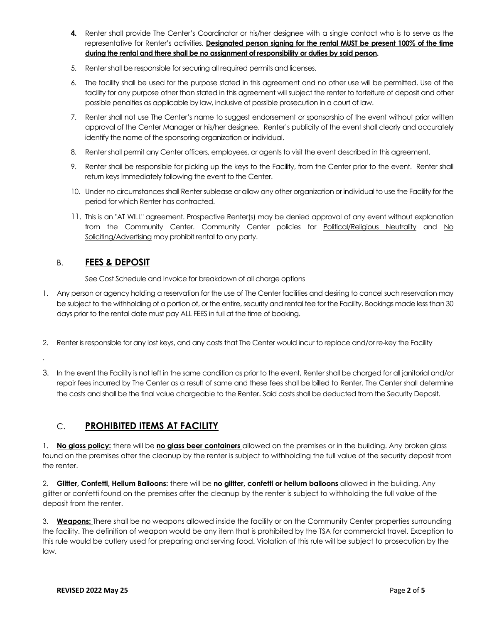- **4.** Renter shall provide The Center's Coordinator or his/her designee with a single contact who is to serve as the representative for Renter's activities. **Designated person signing for the rental MUST be present 100% of the time during the rental and there shall be no assignment of responsibility or duties by said person.**
- 5. Renter shall be responsible for securing all required permits and licenses.
- 6. The facility shall be used for the purpose stated in this agreement and no other use will be permitted. Use of the facility for any purpose other than stated in this agreement will subject the renter to forfeiture of deposit and other possible penalties as applicable by law, inclusive of possible prosecution in a court of law.
- 7. Renter shall not use The Center's name to suggest endorsement or sponsorship of the event without prior written approval of the Center Manager or his/her designee. Renter's publicity of the event shall clearly and accurately identify the name of the sponsoring organization or individual.
- 8. Renter shall permit any Center officers, employees, or agents to visit the event described in this agreement.
- 9. Renter shall be responsible for picking up the keys to the Facility, from the Center prior to the event. Renter shall return keys immediately following the event to the Center.
- 10. Under no circumstances shall Renter sublease or allow any other organization or individual to use the Facility for the period for which Renter has contracted.
- 11. This is an "AT WILL" agreement. Prospective Renter(s) may be denied approval of any event without explanation from the Community Center. Community Center policies for Political/Religious Neutrality and No Soliciting/Advertising may prohibit rental to any party.

#### B. **FEES & DEPOSIT**

.

See Cost Schedule and Invoice for breakdown of all charge options

- 1. Any person or agency holding a reservation for the use of The Center facilities and desiring to cancel such reservation may be subject to the withholding of a portion of, or the entire, security and rental fee for the Facility. Bookings made less than 30 days prior to the rental date must pay ALL FEES in full at the time of booking.
- 2. Renter is responsible for any lost keys, and any costs that The Center would incur to replace and/or re-key the Facility
- 3. In the event the Facility is not left in the same condition as prior to the event, Renter shall be charged for all janitorial and/or repair fees incurred by The Center as a result of same and these fees shall be billed to Renter. The Center shall determine the costs and shall be the final value chargeable to the Renter. Said costs shall be deducted from the Security Deposit.

#### C. **PROHIBITED ITEMS AT FACILITY**

1. **No glass policy:** there will be **no glass beer containers** allowed on the premises or in the building. Any broken glass found on the premises after the cleanup by the renter is subject to withholding the full value of the security deposit from the renter.

2. **Glitter, Confetti, Helium Balloons:** there will be **no glitter, confetti or helium balloons** allowed in the building. Any glitter or confetti found on the premises after the cleanup by the renter is subject to withholding the full value of the deposit from the renter.

3. **Weapons:** There shall be no weapons allowed inside the facility or on the Community Center properties surrounding the facility. The definition of weapon would be any item that is prohibited by the TSA for commercial travel. Exception to this rule would be cutlery used for preparing and serving food. Violation of this rule will be subject to prosecution by the law.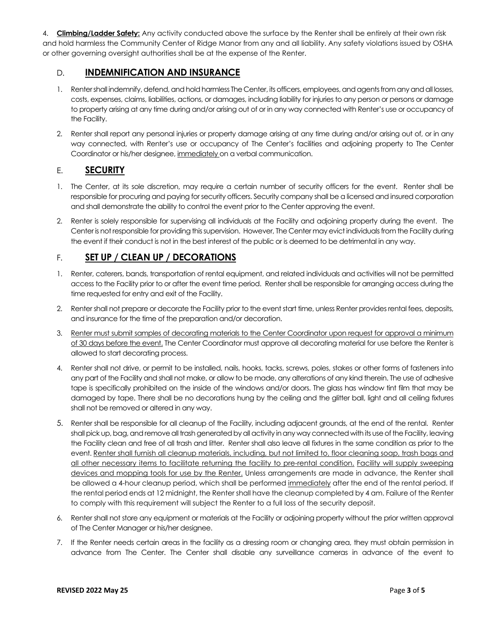4. **Climbing/Ladder Safety:** Any activity conducted above the surface by the Renter shall be entirely at their own risk and hold harmless the Community Center of Ridge Manor from any and all liability. Any safety violations issued by OSHA or other governing oversight authorities shall be at the expense of the Renter.

#### D. **INDEMNIFICATION AND INSURANCE**

- 1. Renter shall indemnify, defend, and hold harmless The Center, its officers, employees, and agents from any and all losses, costs, expenses, claims, liabilities, actions, or damages, including liability for injuries to any person or persons or damage to property arising at any time during and/or arising out of or in any way connected with Renter's use or occupancy of the Facility.
- 2. Renter shall report any personal injuries or property damage arising at any time during and/or arising out of, or in any way connected, with Renter's use or occupancy of The Center's facilities and adjoining property to The Center Coordinator or his/her designee, immediately on a verbal communication.

#### E. **SECURITY**

- 1. The Center, at its sole discretion, may require a certain number of security officers for the event. Renter shall be responsible for procuring and paying for security officers. Security company shall be a licensed and insured corporation and shall demonstrate the ability to control the event prior to the Center approving the event.
- 2. Renter is solely responsible for supervising all individuals at the Facility and adjoining property during the event. The Center is not responsible for providing this supervision. However, The Center may evict individuals from the Facility during the event if their conduct is not in the best interest of the public or is deemed to be detrimental in any way.

#### F. **SET UP / CLEAN UP / DECORATIONS**

- 1. Renter, caterers, bands, transportation of rental equipment, and related individuals and activities will not be permitted access to the Facility prior to or after the event time period. Renter shall be responsible for arranging access during the time requested for entry and exit of the Facility.
- 2. Renter shall not prepare or decorate the Facility prior to the event start time, unless Renter provides rental fees, deposits, and insurance for the time of the preparation and/or decoration.
- 3. Renter must submit samples of decorating materials to the Center Coordinator upon request for approval a minimum of 30 days before the event. The Center Coordinator must approve all decorating material for use before the Renter is allowed to start decorating process.
- 4. Renter shall not drive, or permit to be installed, nails, hooks, tacks, screws, poles, stakes or other forms of fasteners into any part of the Facility and shall not make, or allow to be made, any alterations of any kind therein. The use of adhesive tape is specifically prohibited on the inside of the windows and/or doors. The glass has window tint film that may be damaged by tape. There shall be no decorations hung by the ceiling and the glitter ball, light and all ceiling fixtures shall not be removed or altered in any way.
- 5. Renter shall be responsible for all cleanup of the Facility, including adjacent grounds, at the end of the rental. Renter shall pick up, bag, and remove all trash generated by all activity in any way connected with its use of the Facility, leaving the Facility clean and free of all trash and litter. Renter shall also leave all fixtures in the same condition as prior to the event. Renter shall furnish all cleanup materials, including, but not limited to, floor cleaning soap, trash bags and all other necessary items to facilitate returning the facility to pre-rental condition. Facility will supply sweeping devices and mopping tools for use by the Renter. Unless arrangements are made in advance, the Renter shall be allowed a 4-hour cleanup period, which shall be performed immediately after the end of the rental period. If the rental period ends at 12 midnight, the Renter shall have the cleanup completed by 4 am. Failure of the Renter to comply with this requirement will subject the Renter to a full loss of the security deposit.
- 6. Renter shall not store any equipment or materials at the Facility or adjoining property without the prior written approval of The Center Manager or his/her designee.
- 7. If the Renter needs certain areas in the facility as a dressing room or changing area, they must obtain permission in advance from The Center. The Center shall disable any surveillance cameras in advance of the event to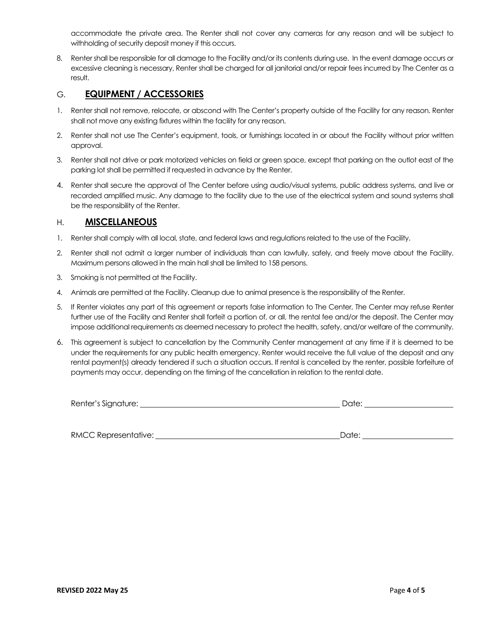accommodate the private area. The Renter shall not cover any cameras for any reason and will be subject to withholding of security deposit money if this occurs.

8. Renter shall be responsible for all damage to the Facility and/or its contents during use. In the event damage occurs or excessive cleaning is necessary, Renter shall be charged for all janitorial and/or repair fees incurred by The Center as a result.

#### G. **EQUIPMENT / ACCESSORIES**

- 1. Renter shall not remove, relocate, or abscond with The Center's property outside of the Facility for any reason. Renter shall not move any existing fixtures within the facility for any reason.
- 2. Renter shall not use The Center's equipment, tools, or furnishings located in or about the Facility without prior written approval.
- 3. Renter shall not drive or park motorized vehicles on field or green space, except that parking on the outlot east of the parking lot shall be permitted if requested in advance by the Renter.
- 4. Renter shall secure the approval of The Center before using audio/visual systems, public address systems, and live or recorded amplified music. Any damage to the facility due to the use of the electrical system and sound systems shall be the responsibility of the Renter.

#### H. **MISCELLANEOUS**

- 1. Renter shall comply with all local, state, and federal laws and regulations related to the use of the Facility.
- 2. Renter shall not admit a larger number of individuals than can lawfully, safely, and freely move about the Facility. Maximum persons allowed in the main hall shall be limited to 158 persons.
- 3. Smoking is not permitted at the Facility.
- 4. Animals are permitted at the Facility. Cleanup due to animal presence is the responsibility of the Renter.
- 5. If Renter violates any part of this agreement or reports false information to The Center, The Center may refuse Renter further use of the Facility and Renter shall forfeit a portion of, or all, the rental fee and/or the deposit. The Center may impose additional requirements as deemed necessary to protect the health, safety, and/or welfare of the community.
- 6. This agreement is subject to cancellation by the Community Center management at any time if it is deemed to be under the requirements for any public health emergency. Renter would receive the full value of the deposit and any rental payment(s) already tendered if such a situation occurs. If rental is cancelled by the renter, possible forfeiture of payments may occur, depending on the timing of the cancellation in relation to the rental date.

| Renter's Signature: | ⊃ate: |  |
|---------------------|-------|--|
|                     |       |  |

| <b>RMCC Representative:</b><br>"Date |
|--------------------------------------|
|--------------------------------------|